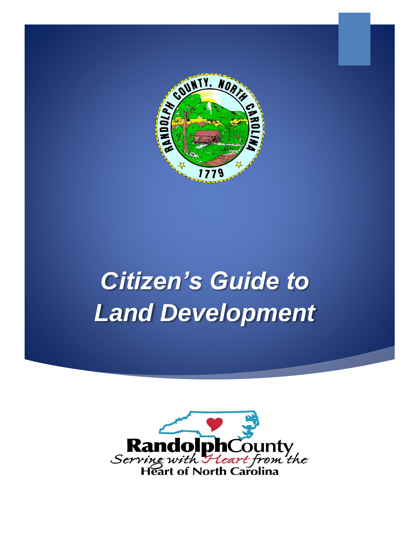

# *Citizen's Guide to Land Development*

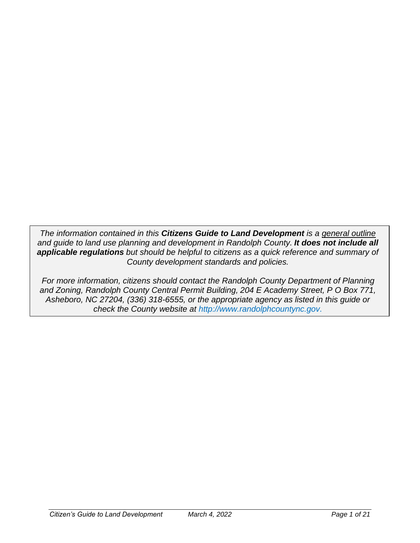*The information contained in this Citizens Guide to Land Development is a general outline and guide to land use planning and development in Randolph County. It does not include all applicable regulations but should be helpful to citizens as a quick reference and summary of County development standards and policies.*

*For more information, citizens should contact the Randolph County Department of Planning and Zoning, Randolph County Central Permit Building, 204 E Academy Street, P O Box 771, Asheboro, NC 27204, (336) 318-6555, or the appropriate agency as listed in this guide or check the County website at [http://www.randolphcountync.gov.](http://www.randolphcountync.gov/)*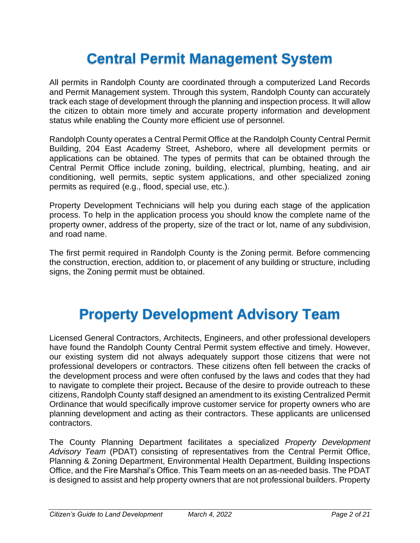# **Central Permit Management System**

All permits in Randolph County are coordinated through a computerized Land Records and Permit Management system. Through this system, Randolph County can accurately track each stage of development through the planning and inspection process. It will allow the citizen to obtain more timely and accurate property information and development status while enabling the County more efficient use of personnel.

Randolph County operates a Central Permit Office at the Randolph County Central Permit Building, 204 East Academy Street, Asheboro, where all development permits or applications can be obtained. The types of permits that can be obtained through the Central Permit Office include zoning, building, electrical, plumbing, heating, and air conditioning, well permits, septic system applications, and other specialized zoning permits as required (e.g., flood, special use, etc.).

Property Development Technicians will help you during each stage of the application process. To help in the application process you should know the complete name of the property owner, address of the property, size of the tract or lot, name of any subdivision, and road name.

The first permit required in Randolph County is the Zoning permit. Before commencing the construction, erection, addition to, or placement of any building or structure, including signs, the Zoning permit must be obtained.

### **Property Development Advisory Team**

Licensed General Contractors, Architects, Engineers, and other professional developers have found the Randolph County Central Permit system effective and timely. However, our existing system did not always adequately support those citizens that were not professional developers or contractors. These citizens often fell between the cracks of the development process and were often confused by the laws and codes that they had to navigate to complete their project**.** Because of the desire to provide outreach to these citizens, Randolph County staff designed an amendment to its existing Centralized Permit Ordinance that would specifically improve customer service for property owners who are planning development and acting as their contractors. These applicants are unlicensed contractors.

The County Planning Department facilitates a specialized *Property Development Advisory Team* (PDAT) consisting of representatives from the Central Permit Office, Planning & Zoning Department, Environmental Health Department, Building Inspections Office, and the Fire Marshal's Office. This Team meets on an as-needed basis. The PDAT is designed to assist and help property owners that are not professional builders. Property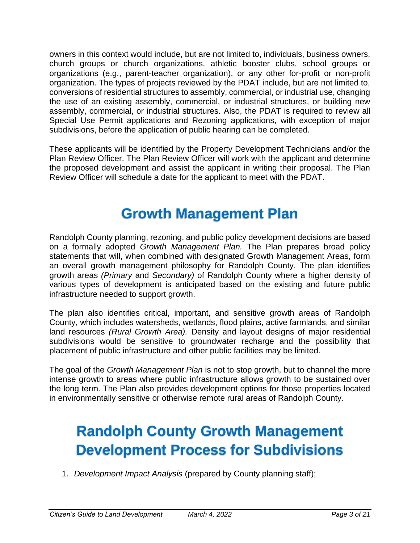owners in this context would include, but are not limited to, individuals, business owners, church groups or church organizations, athletic booster clubs, school groups or organizations (e.g., parent-teacher organization), or any other for-profit or non-profit organization. The types of projects reviewed by the PDAT include, but are not limited to, conversions of residential structures to assembly, commercial, or industrial use, changing the use of an existing assembly, commercial, or industrial structures, or building new assembly, commercial, or industrial structures. Also, the PDAT is required to review all Special Use Permit applications and Rezoning applications, with exception of major subdivisions, before the application of public hearing can be completed.

These applicants will be identified by the Property Development Technicians and/or the Plan Review Officer. The Plan Review Officer will work with the applicant and determine the proposed development and assist the applicant in writing their proposal. The Plan Review Officer will schedule a date for the applicant to meet with the PDAT.

### **Growth Management Plan**

Randolph County planning, rezoning, and public policy development decisions are based on a formally adopted *Growth Management Plan.* The Plan prepares broad policy statements that will, when combined with designated Growth Management Areas, form an overall growth management philosophy for Randolph County. The plan identifies growth areas *(Primary* and *Secondary)* of Randolph County where a higher density of various types of development is anticipated based on the existing and future public infrastructure needed to support growth.

The plan also identifies critical, important, and sensitive growth areas of Randolph County, which includes watersheds, wetlands, flood plains, active farmlands, and similar land resources *(Rural Growth Area).* Density and layout designs of major residential subdivisions would be sensitive to groundwater recharge and the possibility that placement of public infrastructure and other public facilities may be limited.

The goal of the *Growth Management Plan* is not to stop growth, but to channel the more intense growth to areas where public infrastructure allows growth to be sustained over the long term. The Plan also provides development options for those properties located in environmentally sensitive or otherwise remote rural areas of Randolph County.

# **Randolph County Growth Management Development Process for Subdivisions**

1. *Development Impact Analysis* (prepared by County planning staff);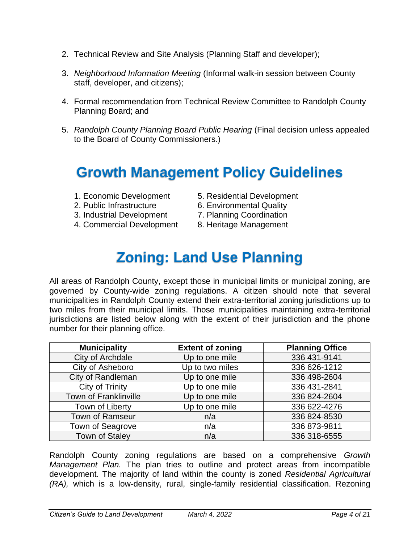- 2. Technical Review and Site Analysis (Planning Staff and developer);
- 3. *Neighborhood Information Meeting* (Informal walk-in session between County staff, developer, and citizens);
- 4. Formal recommendation from Technical Review Committee to Randolph County Planning Board; and
- 5. *Randolph County Planning Board Public Hearing* (Final decision unless appealed to the Board of County Commissioners.)

### **Growth Management Policy Guidelines**

- 
- 
- 3. Industrial Development 7. Planning Coordination
- 4. Commercial Development 8. Heritage Management
- 1. Economic Development 5. Residential Development
- 2. Public Infrastructure 6. Environmental Quality
	-
	-

# **Zoning: Land Use Planning**

All areas of Randolph County, except those in municipal limits or municipal zoning, are governed by County-wide zoning regulations. A citizen should note that several municipalities in Randolph County extend their extra-territorial zoning jurisdictions up to two miles from their municipal limits. Those municipalities maintaining extra-territorial jurisdictions are listed below along with the extent of their jurisdiction and the phone number for their planning office.

| <b>Municipality</b>    | <b>Extent of zoning</b> | <b>Planning Office</b> |
|------------------------|-------------------------|------------------------|
| City of Archdale       | Up to one mile          | 336 431-9141           |
| City of Asheboro       | Up to two miles         | 336 626-1212           |
| City of Randleman      | Up to one mile          | 336 498-2604           |
| City of Trinity        | Up to one mile          | 336 431-2841           |
| Town of Franklinville  | Up to one mile          | 336 824-2604           |
| Town of Liberty        | Up to one mile          | 336 622-4276           |
| <b>Town of Ramseur</b> | n/a                     | 336 824-8530           |
| Town of Seagrove       | n/a                     | 336 873-9811           |
| <b>Town of Staley</b>  | n/a                     | 336 318-6555           |

Randolph County zoning regulations are based on a comprehensive *Growth Management Plan.* The plan tries to outline and protect areas from incompatible development. The majority of land within the county is zoned *Residential Agricultural (RA),* which is a low-density, rural, single-family residential classification. Rezoning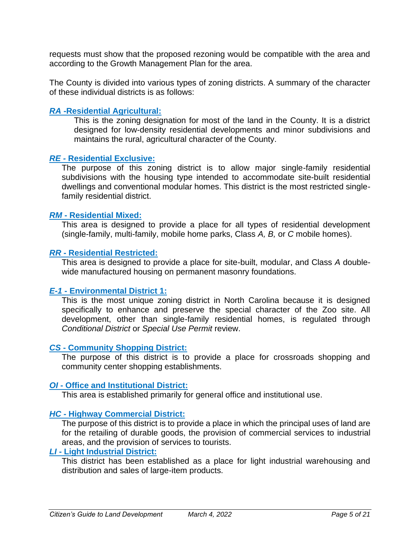requests must show that the proposed rezoning would be compatible with the area and according to the Growth Management Plan for the area.

The County is divided into various types of zoning districts. A summary of the character of these individual districts is as follows:

### *RA* **-Residential Agricultural:**

This is the zoning designation for most of the land in the County. It is a district designed for low-density residential developments and minor subdivisions and maintains the rural, agricultural character of the County.

### *RE -* **Residential Exclusive:**

The purpose of this zoning district is to allow major single-family residential subdivisions with the housing type intended to accommodate site-built residential dwellings and conventional modular homes. This district is the most restricted singlefamily residential district.

#### *RM* **- Residential Mixed:**

This area is designed to provide a place for all types of residential development (single-family, multi-family, mobile home parks, Class *A, B,* or *C* mobile homes).

#### *RR* **- Residential Restricted:**

This area is designed to provide a place for site-built, modular, and Class *A* doublewide manufactured housing on permanent masonry foundations.

### *E-1* **- Environmental District 1:**

This is the most unique zoning district in North Carolina because it is designed specifically to enhance and preserve the special character of the Zoo site. All development, other than single-family residential homes, is regulated through *Conditional District* or *Special Use Permit* review.

### *CS* **- Community Shopping District:**

The purpose of this district is to provide a place for crossroads shopping and community center shopping establishments.

### *OI* **- Office and Institutional District:**

This area is established primarily for general office and institutional use.

### *HC* **- Highway Commercial District:**

The purpose of this district is to provide a place in which the principal uses of land are for the retailing of durable goods, the provision of commercial services to industrial areas, and the provision of services to tourists.

### *LI* **- Light Industrial District:**

This district has been established as a place for light industrial warehousing and distribution and sales of large-item products.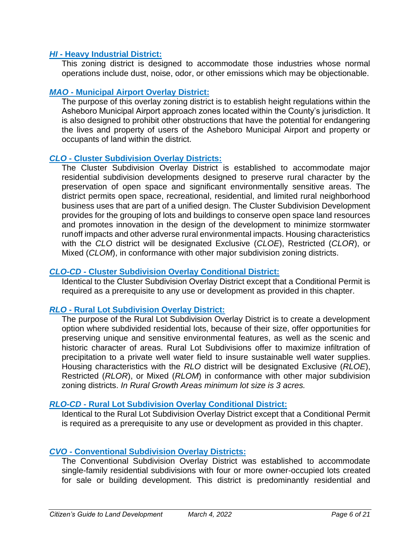### *HI* **- Heavy Industrial District:**

This zoning district is designed to accommodate those industries whose normal operations include dust, noise, odor, or other emissions which may be objectionable.

### *MAO* **- Municipal Airport Overlay District:**

The purpose of this overlay zoning district is to establish height regulations within the Asheboro Municipal Airport approach zones located within the County's jurisdiction. It is also designed to prohibit other obstructions that have the potential for endangering the lives and property of users of the Asheboro Municipal Airport and property or occupants of land within the district.

### *CLO* **- Cluster Subdivision Overlay Districts:**

The Cluster Subdivision Overlay District is established to accommodate major residential subdivision developments designed to preserve rural character by the preservation of open space and significant environmentally sensitive areas. The district permits open space, recreational, residential, and limited rural neighborhood business uses that are part of a unified design. The Cluster Subdivision Development provides for the grouping of lots and buildings to conserve open space land resources and promotes innovation in the design of the development to minimize stormwater runoff impacts and other adverse rural environmental impacts. Housing characteristics with the *CLO* district will be designated Exclusive (*CLOE*), Restricted (*CLOR*), or Mixed (*CLOM*), in conformance with other major subdivision zoning districts.

### *CLO-CD* **- Cluster Subdivision Overlay Conditional District:**

Identical to the Cluster Subdivision Overlay District except that a Conditional Permit is required as a prerequisite to any use or development as provided in this chapter.

### *RLO* **- Rural Lot Subdivision Overlay District:**

The purpose of the Rural Lot Subdivision Overlay District is to create a development option where subdivided residential lots, because of their size, offer opportunities for preserving unique and sensitive environmental features, as well as the scenic and historic character of areas. Rural Lot Subdivisions offer to maximize infiltration of precipitation to a private well water field to insure sustainable well water supplies. Housing characteristics with the *RLO* district will be designated Exclusive (*RLOE*), Restricted (*RLOR*), or Mixed (*RLOM*) in conformance with other major subdivision zoning districts. *In Rural Growth Areas minimum lot size is 3 acres.*

### *RLO-CD* **- Rural Lot Subdivision Overlay Conditional District:**

Identical to the Rural Lot Subdivision Overlay District except that a Conditional Permit is required as a prerequisite to any use or development as provided in this chapter.

### *CVO* **- Conventional Subdivision Overlay Districts:**

The Conventional Subdivision Overlay District was established to accommodate single-family residential subdivisions with four or more owner-occupied lots created for sale or building development. This district is predominantly residential and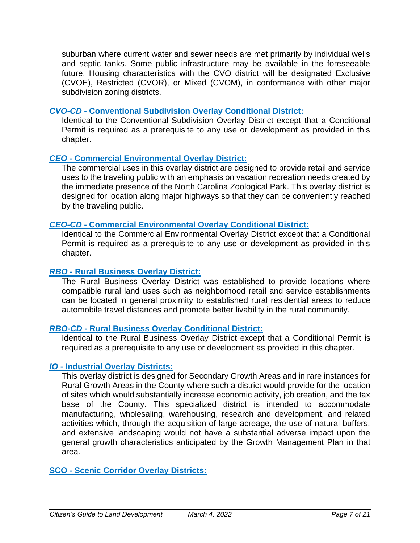suburban where current water and sewer needs are met primarily by individual wells and septic tanks. Some public infrastructure may be available in the foreseeable future. Housing characteristics with the CVO district will be designated Exclusive (CVOE), Restricted (CVOR), or Mixed (CVOM), in conformance with other major subdivision zoning districts.

### *CVO-CD* **- Conventional Subdivision Overlay Conditional District:**

Identical to the Conventional Subdivision Overlay District except that a Conditional Permit is required as a prerequisite to any use or development as provided in this chapter.

### *CEO* **- Commercial Environmental Overlay District:**

The commercial uses in this overlay district are designed to provide retail and service uses to the traveling public with an emphasis on vacation recreation needs created by the immediate presence of the North Carolina Zoological Park. This overlay district is designed for location along major highways so that they can be conveniently reached by the traveling public.

### *CEO-CD* **- Commercial Environmental Overlay Conditional District:**

Identical to the Commercial Environmental Overlay District except that a Conditional Permit is required as a prerequisite to any use or development as provided in this chapter.

### *RBO* **- Rural Business Overlay District:**

The Rural Business Overlay District was established to provide locations where compatible rural land uses such as neighborhood retail and service establishments can be located in general proximity to established rural residential areas to reduce automobile travel distances and promote better livability in the rural community.

### *RBO-CD* **- Rural Business Overlay Conditional District:**

Identical to the Rural Business Overlay District except that a Conditional Permit is required as a prerequisite to any use or development as provided in this chapter.

### *IO* **- Industrial Overlay Districts:**

This overlay district is designed for Secondary Growth Areas and in rare instances for Rural Growth Areas in the County where such a district would provide for the location of sites which would substantially increase economic activity, job creation, and the tax base of the County. This specialized district is intended to accommodate manufacturing, wholesaling, warehousing, research and development, and related activities which, through the acquisition of large acreage, the use of natural buffers, and extensive landscaping would not have a substantial adverse impact upon the general growth characteristics anticipated by the Growth Management Plan in that area.

### **SCO - Scenic Corridor Overlay Districts:**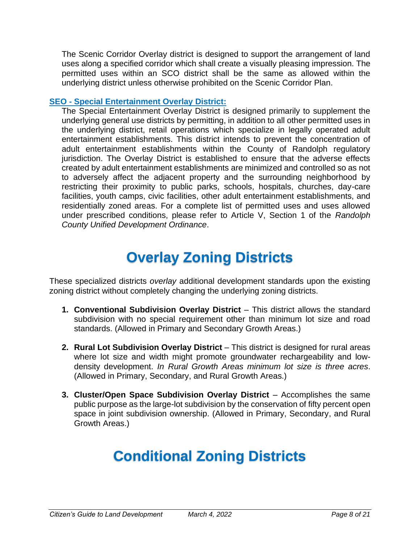The Scenic Corridor Overlay district is designed to support the arrangement of land uses along a specified corridor which shall create a visually pleasing impression. The permitted uses within an SCO district shall be the same as allowed within the underlying district unless otherwise prohibited on the Scenic Corridor Plan.

### **SEO - Special Entertainment Overlay District:**

The Special Entertainment Overlay District is designed primarily to supplement the underlying general use districts by permitting, in addition to all other permitted uses in the underlying district, retail operations which specialize in legally operated adult entertainment establishments. This district intends to prevent the concentration of adult entertainment establishments within the County of Randolph regulatory jurisdiction. The Overlay District is established to ensure that the adverse effects created by adult entertainment establishments are minimized and controlled so as not to adversely affect the adjacent property and the surrounding neighborhood by restricting their proximity to public parks, schools, hospitals, churches, day-care facilities, youth camps, civic facilities, other adult entertainment establishments, and residentially zoned areas. For a complete list of permitted uses and uses allowed under prescribed conditions, please refer to Article V, Section 1 of the *Randolph County Unified Development Ordinance*.

# **Overlay Zoning Districts**

These specialized districts *overlay* additional development standards upon the existing zoning district without completely changing the underlying zoning districts.

- **1. Conventional Subdivision Overlay District** This district allows the standard subdivision with no special requirement other than minimum lot size and road standards. (Allowed in Primary and Secondary Growth Areas.)
- **2. Rural Lot Subdivision Overlay District** This district is designed for rural areas where lot size and width might promote groundwater rechargeability and lowdensity development. *In Rural Growth Areas minimum lot size is three acres*. (Allowed in Primary, Secondary, and Rural Growth Areas.)
- **3. Cluster/Open Space Subdivision Overlay District** Accomplishes the same public purpose as the large-lot subdivision by the conservation of fifty percent open space in joint subdivision ownership. (Allowed in Primary, Secondary, and Rural Growth Areas.)

# **Conditional Zoning Districts**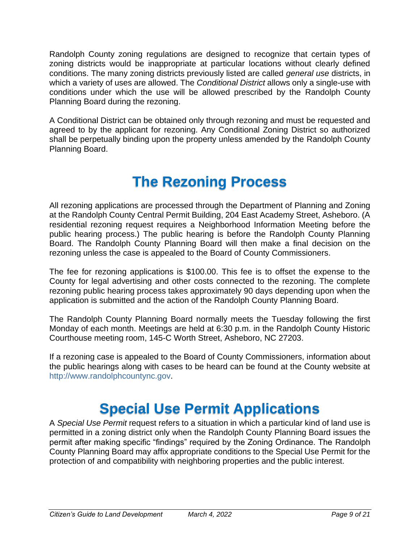Randolph County zoning regulations are designed to recognize that certain types of zoning districts would be inappropriate at particular locations without clearly defined conditions. The many zoning districts previously listed are called *general use* districts, in which a variety of uses are allowed. The *Conditional District* allows only a single-use with conditions under which the use will be allowed prescribed by the Randolph County Planning Board during the rezoning.

A Conditional District can be obtained only through rezoning and must be requested and agreed to by the applicant for rezoning. Any Conditional Zoning District so authorized shall be perpetually binding upon the property unless amended by the Randolph County Planning Board.

# **The Rezoning Process**

All rezoning applications are processed through the Department of Planning and Zoning at the Randolph County Central Permit Building, 204 East Academy Street, Asheboro. (A residential rezoning request requires a Neighborhood Information Meeting before the public hearing process.) The public hearing is before the Randolph County Planning Board. The Randolph County Planning Board will then make a final decision on the rezoning unless the case is appealed to the Board of County Commissioners.

The fee for rezoning applications is \$100.00. This fee is to offset the expense to the County for legal advertising and other costs connected to the rezoning. The complete rezoning public hearing process takes approximately 90 days depending upon when the application is submitted and the action of the Randolph County Planning Board.

The Randolph County Planning Board normally meets the Tuesday following the first Monday of each month. Meetings are held at 6:30 p.m. in the Randolph County Historic Courthouse meeting room, 145-C Worth Street, Asheboro, NC 27203.

If a rezoning case is appealed to the Board of County Commissioners, information about the public hearings along with cases to be heard can be found at the County website at [http://www.randolphcountync.gov.](http://www.randolphcountync.gov/)

### **Special Use Permit Applications**

A *Special Use Permit* request refers to a situation in which a particular kind of land use is permitted in a zoning district only when the Randolph County Planning Board issues the permit after making specific "findings" required by the Zoning Ordinance. The Randolph County Planning Board may affix appropriate conditions to the Special Use Permit for the protection of and compatibility with neighboring properties and the public interest.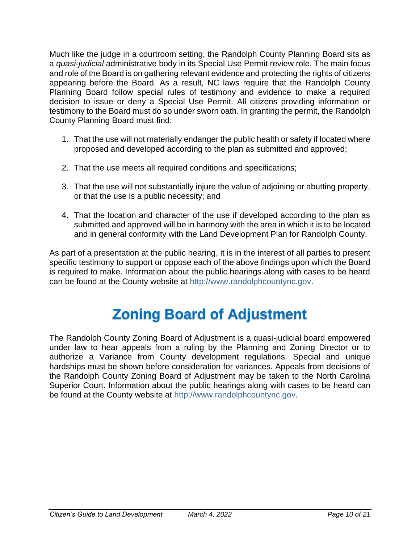Much like the judge in a courtroom setting, the Randolph County Planning Board sits as a *quasi-judicial* administrative body in its Special Use Permit review role. The main focus and role of the Board is on gathering relevant evidence and protecting the rights of citizens appearing before the Board. As a result, NC laws require that the Randolph County Planning Board follow special rules of testimony and evidence to make a required decision to issue or deny a Special Use Permit. All citizens providing information or testimony to the Board must do so under sworn oath. In granting the permit, the Randolph County Planning Board must find:

- 1. That the use will not materially endanger the public health or safety if located where proposed and developed according to the plan as submitted and approved;
- 2. That the use meets all required conditions and specifications;
- 3. That the use will not substantially injure the value of adjoining or abutting property, or that the use is a public necessity; and
- 4. That the location and character of the use if developed according to the plan as submitted and approved will be in harmony with the area in which it is to be located and in general conformity with the Land Development Plan for Randolph County.

As part of a presentation at the public hearing, it is in the interest of all parties to present specific testimony to support or oppose each of the above findings upon which the Board is required to make. Information about the public hearings along with cases to be heard can be found at the County website at [http://www.randolphcountync.gov.](http://www.randolphcountync.gov/)

# **Zoning Board of Adjustment**

The Randolph County Zoning Board of Adjustment is a quasi-judicial board empowered under law to hear appeals from a ruling by the Planning and Zoning Director or to authorize a Variance from County development regulations. Special and unique hardships must be shown before consideration for variances. Appeals from decisions of the Randolph County Zoning Board of Adjustment may be taken to the North Carolina Superior Court. Information about the public hearings along with cases to be heard can be found at the County website at [http://www.randolphcountync.gov.](http://www.randolphcountync.gov/)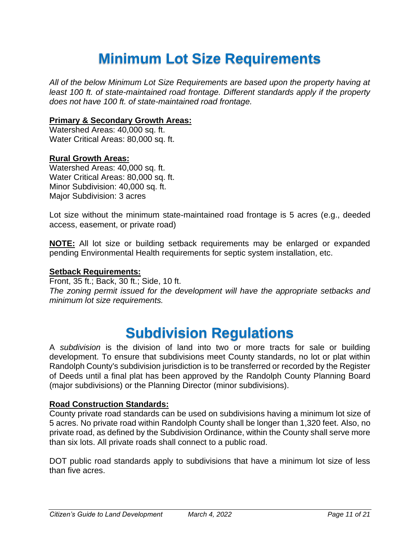# **Minimum Lot Size Requirements**

*All of the below Minimum Lot Size Requirements are based upon the property having at least 100 ft. of state-maintained road frontage. Different standards apply if the property does not have 100 ft. of state-maintained road frontage.*

### **Primary & Secondary Growth Areas:**

Watershed Areas: 40,000 sq. ft. Water Critical Areas: 80,000 sq. ft.

### **Rural Growth Areas:**

Watershed Areas: 40,000 sq. ft. Water Critical Areas: 80,000 sq. ft. Minor Subdivision: 40,000 sq. ft. Major Subdivision: 3 acres

Lot size without the minimum state-maintained road frontage is 5 acres (e.g., deeded access, easement, or private road)

**NOTE:** All lot size or building setback requirements may be enlarged or expanded pending Environmental Health requirements for septic system installation, etc.

### **Setback Requirements:**

Front, 35 ft.; Back, 30 ft.; Side, 10 ft. *The zoning permit issued for the development will have the appropriate setbacks and minimum lot size requirements.*

### **Subdivision Regulations**

A *subdivision* is the division of land into two or more tracts for sale or building development. To ensure that subdivisions meet County standards, no lot or plat within Randolph County's subdivision jurisdiction is to be transferred or recorded by the Register of Deeds until a final plat has been approved by the Randolph County Planning Board (major subdivisions) or the Planning Director (minor subdivisions).

### **Road Construction Standards:**

County private road standards can be used on subdivisions having a minimum lot size of 5 acres. No private road within Randolph County shall be longer than 1,320 feet. Also, no private road, as defined by the Subdivision Ordinance, within the County shall serve more than six lots. All private roads shall connect to a public road.

DOT public road standards apply to subdivisions that have a minimum lot size of less than five acres.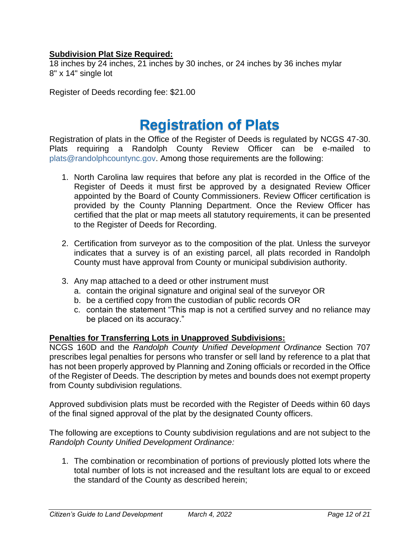### **Subdivision Plat Size Required:**

18 inches by 24 inches, 21 inches by 30 inches, or 24 inches by 36 inches mylar 8" x 14" single lot

Register of Deeds recording fee: \$21.00

### **Registration of Plats**

Registration of plats in the Office of the Register of Deeds is regulated by NCGS 47-30. Plats requiring a Randolph County Review Officer can be e-mailed to [plats@randolphcountync.gov.](mailto:plats@randolphcountync.gov) Among those requirements are the following:

- 1. North Carolina law requires that before any plat is recorded in the Office of the Register of Deeds it must first be approved by a designated Review Officer appointed by the Board of County Commissioners. Review Officer certification is provided by the County Planning Department. Once the Review Officer has certified that the plat or map meets all statutory requirements, it can be presented to the Register of Deeds for Recording.
- 2. Certification from surveyor as to the composition of the plat. Unless the surveyor indicates that a survey is of an existing parcel, all plats recorded in Randolph County must have approval from County or municipal subdivision authority.
- 3. Any map attached to a deed or other instrument must
	- a. contain the original signature and original seal of the surveyor OR
	- b. be a certified copy from the custodian of public records OR
	- c. contain the statement "This map is not a certified survey and no reliance may be placed on its accuracy."

### **Penalties for Transferring Lots in Unapproved Subdivisions:**

NCGS 160D and the *Randolph County Unified Development Ordinance* Section 707 prescribes legal penalties for persons who transfer or sell land by reference to a plat that has not been properly approved by Planning and Zoning officials or recorded in the Office of the Register of Deeds. The description by metes and bounds does not exempt property from County subdivision regulations.

Approved subdivision plats must be recorded with the Register of Deeds within 60 days of the final signed approval of the plat by the designated County officers.

The following are exceptions to County subdivision regulations and are not subject to the *Randolph County Unified Development Ordinance:*

1. The combination or recombination of portions of previously plotted lots where the total number of lots is not increased and the resultant lots are equal to or exceed the standard of the County as described herein;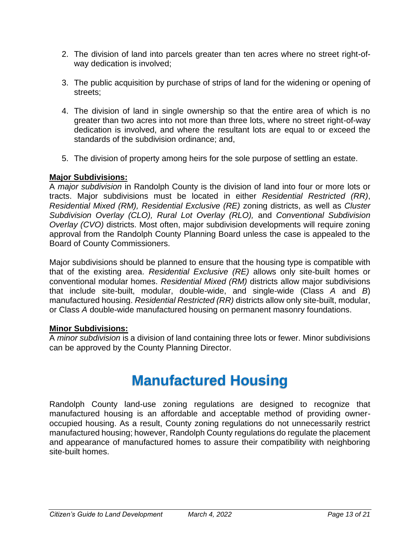- 2. The division of land into parcels greater than ten acres where no street right-ofway dedication is involved;
- 3. The public acquisition by purchase of strips of land for the widening or opening of streets;
- 4. The division of land in single ownership so that the entire area of which is no greater than two acres into not more than three lots, where no street right-of-way dedication is involved, and where the resultant lots are equal to or exceed the standards of the subdivision ordinance; and,
- 5. The division of property among heirs for the sole purpose of settling an estate.

### **Major Subdivisions:**

A *major subdivision* in Randolph County is the division of land into four or more lots or tracts. Major subdivisions must be located in either *Residential Restricted (RR)*, *Residential Mixed (RM), Residential Exclusive (RE)* zoning districts, as well as *Cluster Subdivision Overlay (CLO), Rural Lot Overlay (RLO),* and *Conventional Subdivision Overlay (CVO)* districts. Most often, major subdivision developments will require zoning approval from the Randolph County Planning Board unless the case is appealed to the Board of County Commissioners.

Major subdivisions should be planned to ensure that the housing type is compatible with that of the existing area. *Residential Exclusive (RE)* allows only site-built homes or conventional modular homes. *Residential Mixed (RM)* districts allow major subdivisions that include site-built, modular, double-wide, and single-wide (Class *A* and *B*) manufactured housing. *Residential Restricted (RR)* districts allow only site-built, modular, or Class *A* double-wide manufactured housing on permanent masonry foundations.

### **Minor Subdivisions:**

A *minor subdivision* is a division of land containing three lots or fewer. Minor subdivisions can be approved by the County Planning Director.

### **Manufactured Housing**

Randolph County land-use zoning regulations are designed to recognize that manufactured housing is an affordable and acceptable method of providing owneroccupied housing. As a result, County zoning regulations do not unnecessarily restrict manufactured housing; however, Randolph County regulations do regulate the placement and appearance of manufactured homes to assure their compatibility with neighboring site-built homes.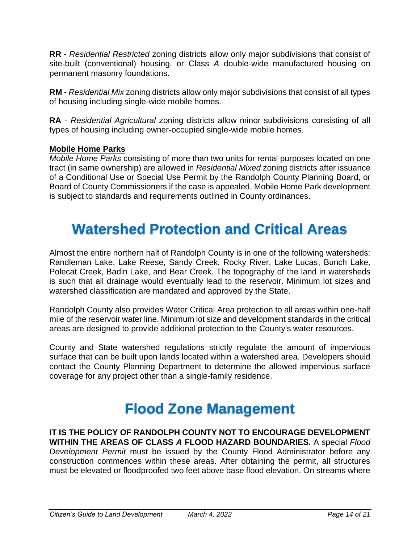**RR** - *Residential Restricted* zoning districts allow only major subdivisions that consist of site-built (conventional) housing, or Class *A* double-wide manufactured housing on permanent masonry foundations.

**RM** - *Residential Mix* zoning districts allow only major subdivisions that consist of all types of housing including single-wide mobile homes.

**RA** - *Residential Agricultural* zoning districts allow minor subdivisions consisting of all types of housing including owner-occupied single-wide mobile homes.

### **Mobile Home Parks**

*Mobile Home Parks* consisting of more than two units for rental purposes located on one tract (in same ownership) are allowed in *Residential Mixed* zoning districts after issuance of a Conditional Use or Special Use Permit by the Randolph County Planning Board, or Board of County Commissioners if the case is appealed. Mobile Home Park development is subject to standards and requirements outlined in County ordinances.

### **Watershed Protection and Critical Areas**

Almost the entire northern half of Randolph County is in one of the following watersheds: Randleman Lake, Lake Reese, Sandy Creek, Rocky River, Lake Lucas, Bunch Lake, Polecat Creek, Badin Lake, and Bear Creek. The topography of the land in watersheds is such that all drainage would eventually lead to the reservoir. Minimum lot sizes and watershed classification are mandated and approved by the State.

Randolph County also provides Water Critical Area protection to all areas within one-half mile of the reservoir water line. Minimum lot size and development standards in the critical areas are designed to provide additional protection to the County's water resources.

County and State watershed regulations strictly regulate the amount of impervious surface that can be built upon lands located within a watershed area. Developers should contact the County Planning Department to determine the allowed impervious surface coverage for any project other than a single-family residence.

# **Flood Zone Management**

**IT IS THE POLICY OF RANDOLPH COUNTY NOT TO ENCOURAGE DEVELOPMENT WITHIN THE AREAS OF CLASS** *A* **FLOOD HAZARD BOUNDARIES.** A special *Flood Development Permit* must be issued by the County Flood Administrator before any construction commences within these areas. After obtaining the permit, all structures must be elevated or floodproofed two feet above base flood elevation. On streams where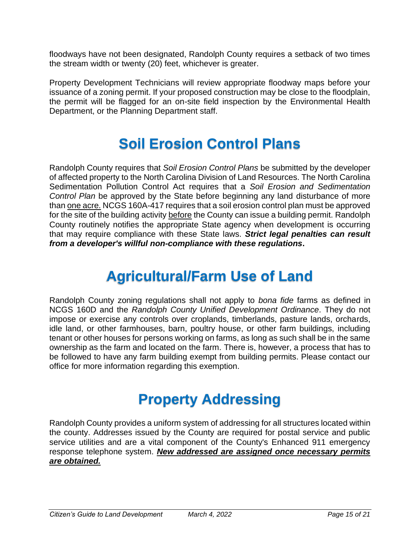floodways have not been designated, Randolph County requires a setback of two times the stream width or twenty (20) feet, whichever is greater.

Property Development Technicians will review appropriate floodway maps before your issuance of a zoning permit. If your proposed construction may be close to the floodplain, the permit will be flagged for an on-site field inspection by the Environmental Health Department, or the Planning Department staff.

### **Soil Erosion Control Plans**

Randolph County requires that *Soil Erosion Control Plans* be submitted by the developer of affected property to the North Carolina Division of Land Resources. The North Carolina Sedimentation Pollution Control Act requires that a *Soil Erosion and Sedimentation Control Plan* be approved by the State before beginning any land disturbance of more than one acre. NCGS 160A-417 requires that a soil erosion control plan must be approved for the site of the building activity before the County can issue a building permit. Randolph County routinely notifies the appropriate State agency when development is occurring that may require compliance with these State laws. *Strict legal penalties can result from a developer's willful non-compliance with these regulations***.**

### **Agricultural/Farm Use of Land**

Randolph County zoning regulations shall not apply to *bona fide* farms as defined in NCGS 160D and the *Randolph County Unified Development Ordinance*. They do not impose or exercise any controls over croplands, timberlands, pasture lands, orchards, idle land, or other farmhouses, barn, poultry house, or other farm buildings, including tenant or other houses for persons working on farms, as long as such shall be in the same ownership as the farm and located on the farm. There is, however, a process that has to be followed to have any farm building exempt from building permits. Please contact our office for more information regarding this exemption.

# **Property Addressing**

Randolph County provides a uniform system of addressing for all structures located within the county. Addresses issued by the County are required for postal service and public service utilities and are a vital component of the County's Enhanced 911 emergency response telephone system. *New addressed are assigned once necessary permits are obtained.*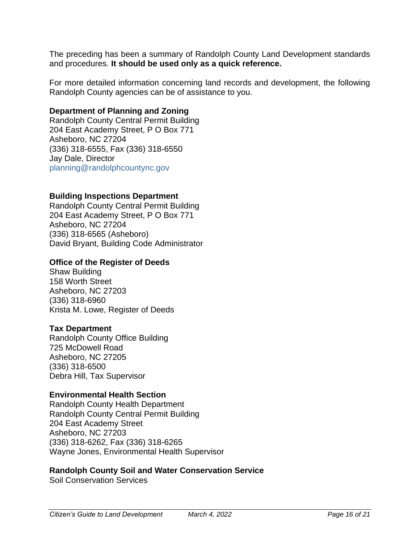The preceding has been a summary of Randolph County Land Development standards and procedures. **It should be used only as a quick reference.**

For more detailed information concerning land records and development, the following Randolph County agencies can be of assistance to you.

### **Department of Planning and Zoning**

Randolph County Central Permit Building 204 East Academy Street, P O Box 771 Asheboro, NC 27204 (336) 318-6555, Fax (336) 318-6550 Jay Dale, Director [planning@randolphcountync.gov](mailto:planning@randolphcountync.gov)

### **Building Inspections Department**

Randolph County Central Permit Building 204 East Academy Street, P O Box 771 Asheboro, NC 27204 (336) 318-6565 (Asheboro) David Bryant, Building Code Administrator

#### **Office of the Register of Deeds**

Shaw Building 158 Worth Street Asheboro, NC 27203 (336) 318-6960 Krista M. Lowe, Register of Deeds

#### **Tax Department**

Randolph County Office Building 725 McDowell Road Asheboro, NC 27205 (336) 318-6500 Debra Hill, Tax Supervisor

#### **Environmental Health Section**

Randolph County Health Department Randolph County Central Permit Building 204 East Academy Street Asheboro, NC 27203 (336) 318-6262, Fax (336) 318-6265 Wayne Jones, Environmental Health Supervisor

#### **Randolph County Soil and Water Conservation Service**

Soil Conservation Services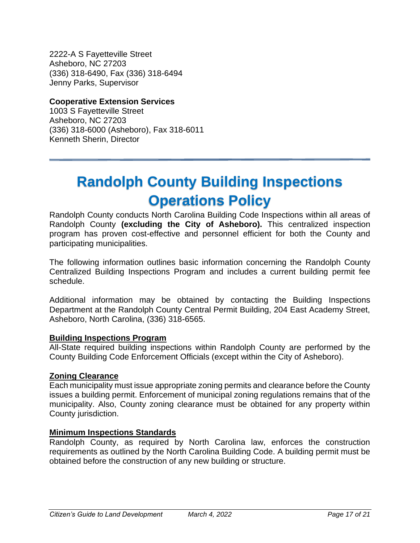2222-A S Fayetteville Street Asheboro, NC 27203 (336) 318-6490, Fax (336) 318-6494 Jenny Parks, Supervisor

### **Cooperative Extension Services**

1003 S Fayetteville Street Asheboro, NC 27203 (336) 318-6000 (Asheboro), Fax 318-6011 Kenneth Sherin, Director

# **Randolph County Building Inspections Operations Policy**

Randolph County conducts North Carolina Building Code Inspections within all areas of Randolph County **(excluding the City of Asheboro).** This centralized inspection program has proven cost-effective and personnel efficient for both the County and participating municipalities.

The following information outlines basic information concerning the Randolph County Centralized Building Inspections Program and includes a current building permit fee schedule.

Additional information may be obtained by contacting the Building Inspections Department at the Randolph County Central Permit Building, 204 East Academy Street, Asheboro, North Carolina, (336) 318-6565.

### **Building Inspections Program**

All-State required building inspections within Randolph County are performed by the County Building Code Enforcement Officials (except within the City of Asheboro).

### **Zoning Clearance**

Each municipality must issue appropriate zoning permits and clearance before the County issues a building permit. Enforcement of municipal zoning regulations remains that of the municipality. Also, County zoning clearance must be obtained for any property within County jurisdiction.

### **Minimum Inspections Standards**

Randolph County, as required by North Carolina law, enforces the construction requirements as outlined by the North Carolina Building Code. A building permit must be obtained before the construction of any new building or structure.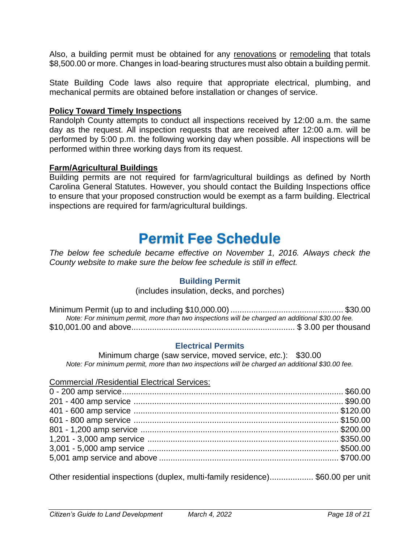Also, a building permit must be obtained for any renovations or remodeling that totals \$8,500.00 or more. Changes in load-bearing structures must also obtain a building permit.

State Building Code laws also require that appropriate electrical, plumbing, and mechanical permits are obtained before installation or changes of service.

### **Policy Toward Timely Inspections**

Randolph County attempts to conduct all inspections received by 12:00 a.m. the same day as the request. All inspection requests that are received after 12:00 a.m. will be performed by 5:00 p.m. the following working day when possible. All inspections will be performed within three working days from its request.

### **Farm/Agricultural Buildings**

Building permits are not required for farm/agricultural buildings as defined by North Carolina General Statutes. However, you should contact the Building Inspections office to ensure that your proposed construction would be exempt as a farm building. Electrical inspections are required for farm/agricultural buildings.

### **Permit Fee Schedule**

*The below fee schedule became effective on November 1, 2016. Always check the County website to make sure the below fee schedule is still in effect.*

### **Building Permit**

(includes insulation, decks, and porches)

| Note: For minimum permit, more than two inspections will be charged an additional \$30.00 fee. |  |
|------------------------------------------------------------------------------------------------|--|
|                                                                                                |  |

### **Electrical Permits**

Minimum charge (saw service, moved service, *etc.*): \$30.00 *Note: For minimum permit, more than two inspections will be charged an additional \$30.00 fee.*

| <b>Commercial /Residential Electrical Services:</b> |  |
|-----------------------------------------------------|--|
|                                                     |  |
|                                                     |  |
|                                                     |  |
|                                                     |  |
|                                                     |  |
|                                                     |  |
|                                                     |  |
|                                                     |  |
|                                                     |  |

Other residential inspections (duplex, multi-family residence)................... \$60.00 per unit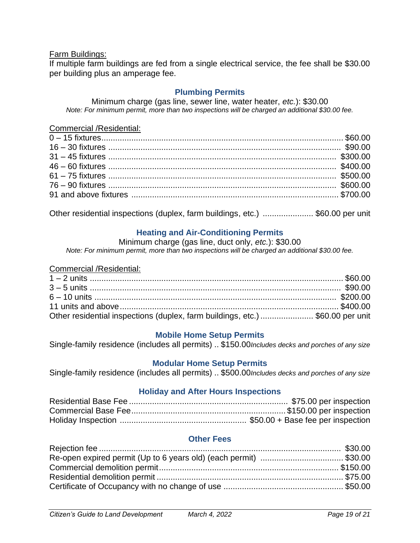### Farm Buildings:

If multiple farm buildings are fed from a single electrical service, the fee shall be \$30.00 per building plus an amperage fee.

### **Plumbing Permits**

Minimum charge (gas line, sewer line, water heater, *etc.*): \$30.00 *Note: For minimum permit, more than two inspections will be charged an additional \$30.00 fee.*

#### Commercial /Residential:

Other residential inspections (duplex, farm buildings, etc.) ...................... \$60.00 per unit

### **Heating and Air-Conditioning Permits**

Minimum charge (gas line, duct only, *etc.*): \$30.00

*Note: For minimum permit, more than two inspections will be charged an additional \$30.00 fee.*

### Commercial /Residential:

| Other residential inspections (duplex, farm buildings, etc.) \$60.00 per unit |  |
|-------------------------------------------------------------------------------|--|

### **Mobile Home Setup Permits**

Single-family residence (includes all permits) .. \$150.00*Includes decks and porches of any size*

### **Modular Home Setup Permits**

Single-family residence (includes all permits) .. \$500.00*Includes decks and porches of any size*

### **Holiday and After Hours Inspections**

### **Other Fees**

| Re-open expired permit (Up to 6 years old) (each permit) \$30.00 |  |
|------------------------------------------------------------------|--|
|                                                                  |  |
|                                                                  |  |
|                                                                  |  |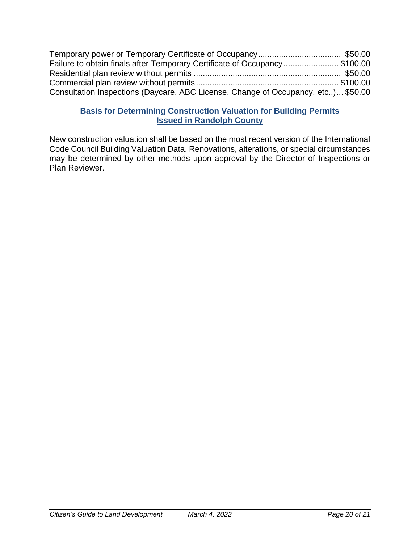| Failure to obtain finals after Temporary Certificate of Occupancy\$100.00           |  |
|-------------------------------------------------------------------------------------|--|
|                                                                                     |  |
|                                                                                     |  |
| Consultation Inspections (Daycare, ABC License, Change of Occupancy, etc.,) \$50.00 |  |

### **Basis for Determining Construction Valuation for Building Permits Issued in Randolph County**

New construction valuation shall be based on the most recent version of the International Code Council Building Valuation Data. Renovations, alterations, or special circumstances may be determined by other methods upon approval by the Director of Inspections or Plan Reviewer.